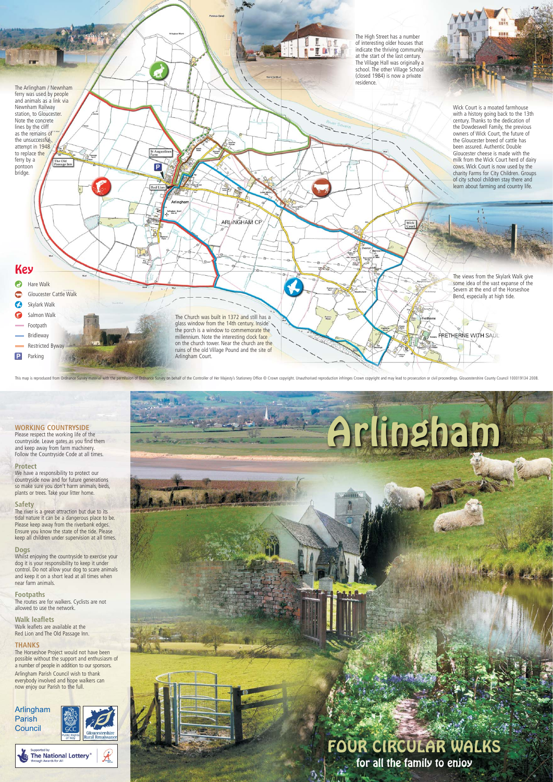### **WORKING COUNTRYSIDE**

Please respect the working life of the countryside. Leave gates as you find them and keep away from farm machinery. Follow the Countryside Code at all times.

#### **Protect**

We have a responsibility to protect our countryside now and for future generations so make sure you don't harm animals, birds, plants or trees. Take your litter home.

#### **Safety**

The river is a great attraction but due to its tidal nature it can be a dangerous place to be. Please keep away from the riverbank edges. Ensure you know the state of the tide. Please keep all children under supervision at all times.

#### **Dogs**

Whilst enjoying the countryside to exercise your dog it is your responsibility to keep it under control. Do not allow your dog to scare animals and keep it on a short lead at all times when near farm animals.

**Footpaths** The routes are for walkers. Cyclists are not allowed to use the network.

**Walk leaflets** Walk leaflets are available at the Red Lion and The Old Passage Inn.

### **THANKS**

The Horseshoe Project would not have been possible without the support and enthusiasm of a number of people in addition to our sponsors. Arlingham Parish Council wish to thank everybody involved and hope walkers can now enjoy our Parish to the full.



Arlingham Parish **Council** 







This map is reproduced from Ordnance Survey material with the permission of Ordnance Survey on behalf of the Controller of Her Majesty's Stationery Office @ Crown copyright. Unauthorised reproduction infringes Crown copyri